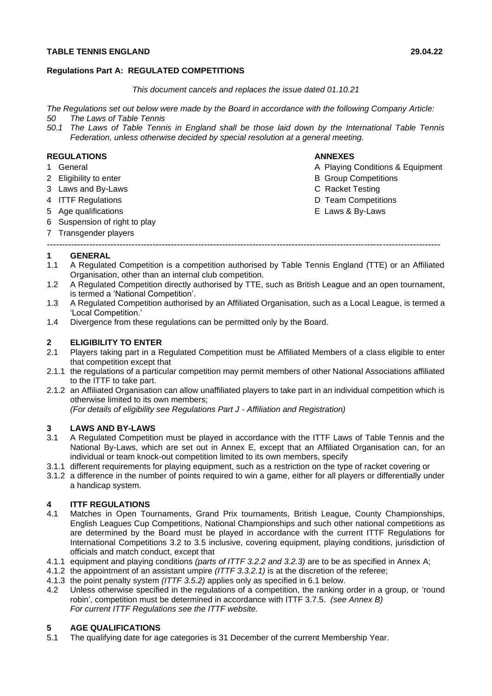### **TABLE TENNIS ENGLAND 29.04.22**

### **Regulations Part A: REGULATED COMPETITIONS**

#### *This document cancels and replaces the issue dated 01.10.21*

*The Regulations set out below were made by the Board in accordance with the following Company Article:*

- *50 The Laws of Table Tennis*
- *50.1 The Laws of Table Tennis in England shall be those laid down by the International Table Tennis Federation, unless otherwise decided by special resolution at a general meeting.*

### **REGULATIONS ANNEXES**

- 
- 
- 3 Laws and By-Laws C Racket Testing
- 
- 
- 6 Suspension of right to play
- 7 Transgender players

- 1 General **A Playing Conditions & Equipment**
- 2 Eligibility to enter **B** Group Competitions
	-
- 4 ITTF Regulations D Team Competitions
- 5 Age qualifications E Laws & By-Laws
- *----------------------------------------------------------------------------------------------------------------------------------* **1 GENERAL**
- 1.1 A Regulated Competition is a competition authorised by Table Tennis England (TTE) or an Affiliated Organisation, other than an internal club competition.
- 1.2 A Regulated Competition directly authorised by TTE, such as British League and an open tournament, is termed a 'National Competition'.
- 1.3 A Regulated Competition authorised by an Affiliated Organisation, such as a Local League, is termed a 'Local Competition.'
- 1.4 Divergence from these regulations can be permitted only by the Board.

### **2 ELIGIBILITY TO ENTER**

- 2.1 Players taking part in a Regulated Competition must be Affiliated Members of a class eligible to enter that competition except that
- 2.1.1 the regulations of a particular competition may permit members of other National Associations affiliated to the ITTF to take part.
- 2.1.2 an Affiliated Organisation can allow unaffiliated players to take part in an individual competition which is otherwise limited to its own members;

*(For details of eligibility see Regulations Part J - Affiliation and Registration)*

### **3 LAWS AND BY-LAWS**

- 3.1 A Regulated Competition must be played in accordance with the ITTF Laws of Table Tennis and the National By-Laws, which are set out in Annex E, except that an Affiliated Organisation can, for an individual or team knock-out competition limited to its own members, specify
- 3.1.1 different requirements for playing equipment, such as a restriction on the type of racket covering or
- 3.1.2 a difference in the number of points required to win a game, either for all players or differentially under a handicap system.

# **4 ITTF REGULATIONS**

- Matches in Open Tournaments, Grand Prix tournaments, British League, County Championships, English Leagues Cup Competitions, National Championships and such other national competitions as are determined by the Board must be played in accordance with the current ITTF Regulations for International Competitions 3.2 to 3.5 inclusive, covering equipment, playing conditions, jurisdiction of officials and match conduct, except that
- 4.1.1 equipment and playing conditions *(parts of ITTF 3.2.2 and 3.2.3)* are to be as specified in Annex A;
- 4.1.2 the appointment of an assistant umpire *(ITTF 3.3.2.1)* is at the discretion of the referee;
- 4.1.3 the point penalty system *(ITTF 3.5.2)* applies only as specified in 6.1 below.
- 4.2 Unless otherwise specified in the regulations of a competition, the ranking order in a group, or 'round robin', competition must be determined in accordance with ITTF 3.7.5. *(see Annex B) For current ITTF Regulations see the ITTF website.*

### **5 AGE QUALIFICATIONS**

5.1 The qualifying date for age categories is 31 December of the current Membership Year.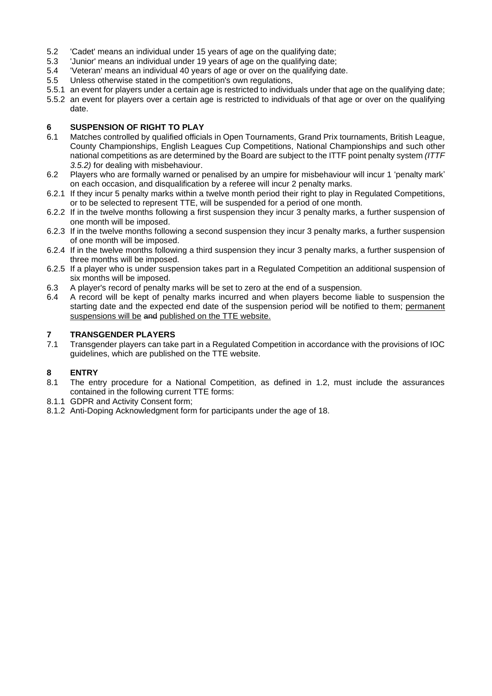- 5.2 'Cadet' means an individual under 15 years of age on the qualifying date;
- 5.3 'Junior' means an individual under 19 years of age on the qualifying date;
- 5.4 'Veteran' means an individual 40 years of age or over on the qualifying date.
- 5.5 Unless otherwise stated in the competition's own regulations,
- 5.5.1 an event for players under a certain age is restricted to individuals under that age on the qualifying date;
- 5.5.2 an event for players over a certain age is restricted to individuals of that age or over on the qualifying date.

### **6 SUSPENSION OF RIGHT TO PLAY**

- 6.1 Matches controlled by qualified officials in Open Tournaments, Grand Prix tournaments, British League, County Championships, English Leagues Cup Competitions, National Championships and such other national competitions as are determined by the Board are subject to the ITTF point penalty system *(ITTF 3.5.2)* for dealing with misbehaviour.
- 6.2 Players who are formally warned or penalised by an umpire for misbehaviour will incur 1 'penalty mark' on each occasion, and disqualification by a referee will incur 2 penalty marks.
- 6.2.1 If they incur 5 penalty marks within a twelve month period their right to play in Regulated Competitions, or to be selected to represent TTE, will be suspended for a period of one month.
- 6.2.2 If in the twelve months following a first suspension they incur 3 penalty marks, a further suspension of one month will be imposed.
- 6.2.3 If in the twelve months following a second suspension they incur 3 penalty marks, a further suspension of one month will be imposed.
- 6.2.4 If in the twelve months following a third suspension they incur 3 penalty marks, a further suspension of three months will be imposed.
- 6.2.5 If a player who is under suspension takes part in a Regulated Competition an additional suspension of six months will be imposed.
- 6.3 A player's record of penalty marks will be set to zero at the end of a suspension.
- 6.4 A record will be kept of penalty marks incurred and when players become liable to suspension the starting date and the expected end date of the suspension period will be notified to them; permanent suspensions will be and published on the TTE website.

# **7 TRANSGENDER PLAYERS**

7.1 Transgender players can take part in a Regulated Competition in accordance with the provisions of IOC guidelines, which are published on the TTE website.

### **8 ENTRY**

- 8.1 The entry procedure for a National Competition, as defined in 1.2, must include the assurances contained in the following current TTE forms:
- 8.1.1 GDPR and Activity Consent form;
- 8.1.2 Anti-Doping Acknowledgment form for participants under the age of 18.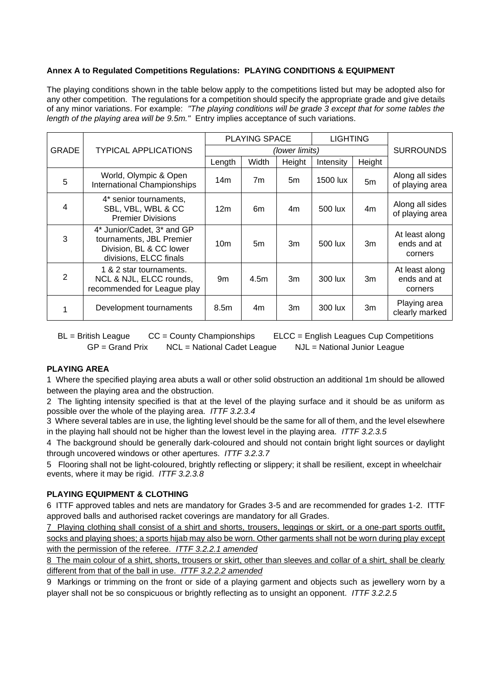### **Annex A to Regulated Competitions Regulations: PLAYING CONDITIONS & EQUIPMENT**

The playing conditions shown in the table below apply to the competitions listed but may be adopted also for any other competition. The regulations for a competition should specify the appropriate grade and give details of any minor variations. For example: *"The playing conditions will be grade 3 except that for some tables the length of the playing area will be 9.5m."* Entry implies acceptance of such variations.

|              | <b>TYPICAL APPLICATIONS</b>                                                                                 | <b>PLAYING SPACE</b> |       |        | <b>LIGHTING</b> |                |                                          |
|--------------|-------------------------------------------------------------------------------------------------------------|----------------------|-------|--------|-----------------|----------------|------------------------------------------|
| <b>GRADE</b> |                                                                                                             | (lower limits)       |       |        |                 |                | <b>SURROUNDS</b>                         |
|              |                                                                                                             | Length               | Width | Height | Intensity       | Height         |                                          |
| 5            | World, Olympic & Open<br><b>International Championships</b>                                                 | 14m                  | 7m    | 5m     | 1500 lux        | 5 <sub>m</sub> | Along all sides<br>of playing area       |
| 4            | 4* senior tournaments,<br>SBL, VBL, WBL & CC<br><b>Premier Divisions</b>                                    | 12 <sub>m</sub>      | 6m    | 4m     | 500 lux         | 4m             | Along all sides<br>of playing area       |
| 3            | 4* Junior/Cadet, 3* and GP<br>tournaments, JBL Premier<br>Division, BL & CC lower<br>divisions, ELCC finals | 10 <sub>m</sub>      | 5m    | 3m     | 500 lux         | 3m             | At least along<br>ends and at<br>corners |
| 2            | 1 & 2 star tournaments.<br>NCL & NJL, ELCC rounds,<br>recommended for League play                           | 9m                   | 4.5m  | 3m     | 300 lux         | 3m             | At least along<br>ends and at<br>corners |
|              | Development tournaments                                                                                     | 8.5 <sub>m</sub>     | 4m    | 3m     | 300 lux         | 3m             | Playing area<br>clearly marked           |

BL = British League CC = County Championships ELCC = English Leagues Cup Competitions GP = Grand Prix NCL = National Cadet League NJL = National Junior League

#### **PLAYING AREA**

1 Where the specified playing area abuts a wall or other solid obstruction an additional 1m should be allowed between the playing area and the obstruction.

2 The lighting intensity specified is that at the level of the playing surface and it should be as uniform as possible over the whole of the playing area. *ITTF 3.2.3.4*

3 Where several tables are in use, the lighting level should be the same for all of them, and the level elsewhere in the playing hall should not be higher than the lowest level in the playing area. *ITTF 3.2.3.5*

4 The background should be generally dark-coloured and should not contain bright light sources or daylight through uncovered windows or other apertures. *ITTF 3.2.3.7*

5 Flooring shall not be light-coloured, brightly reflecting or slippery; it shall be resilient, except in wheelchair events, where it may be rigid. *ITTF 3.2.3.8*

#### **PLAYING EQUIPMENT & CLOTHING**

6 ITTF approved tables and nets are mandatory for Grades 3-5 and are recommended for grades 1-2. ITTF approved balls and authorised racket coverings are mandatory for all Grades.

7 Playing clothing shall consist of a shirt and shorts, trousers, leggings or skirt, or a one-part sports outfit, socks and playing shoes; a sports hijab may also be worn. Other garments shall not be worn during play except with the permission of the referee. *ITTF 3.2.2.1 amended*

8 The main colour of a shirt, shorts, trousers or skirt, other than sleeves and collar of a shirt, shall be clearly different from that of the ball in use. *ITTF 3.2.2.2 amended*

9 Markings or trimming on the front or side of a playing garment and objects such as jewellery worn by a player shall not be so conspicuous or brightly reflecting as to unsight an opponent. *ITTF 3.2.2.5*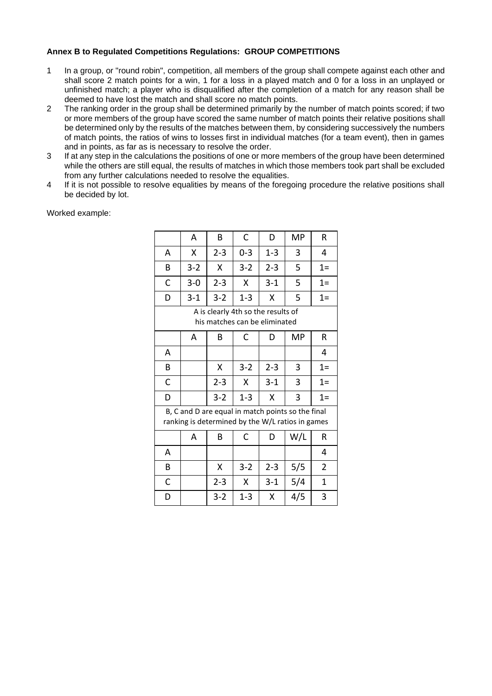### **Annex B to Regulated Competitions Regulations: GROUP COMPETITIONS**

- 1 In a group, or "round robin", competition, all members of the group shall compete against each other and shall score 2 match points for a win, 1 for a loss in a played match and 0 for a loss in an unplayed or unfinished match; a player who is disqualified after the completion of a match for any reason shall be deemed to have lost the match and shall score no match points.
- 2 The ranking order in the group shall be determined primarily by the number of match points scored; if two or more members of the group have scored the same number of match points their relative positions shall be determined only by the results of the matches between them, by considering successively the numbers of match points, the ratios of wins to losses first in individual matches (for a team event), then in games and in points, as far as is necessary to resolve the order.
- 3 If at any step in the calculations the positions of one or more members of the group have been determined while the others are still equal, the results of matches in which those members took part shall be excluded from any further calculations needed to resolve the equalities.
- 4 If it is not possible to resolve equalities by means of the foregoing procedure the relative positions shall be decided by lot.

|                                                                                                       | A       | В       | C       | D       | MP  | R              |  |  |  |  |
|-------------------------------------------------------------------------------------------------------|---------|---------|---------|---------|-----|----------------|--|--|--|--|
| A                                                                                                     | X       | $2 - 3$ | $0 - 3$ | $1 - 3$ | 3   | 4              |  |  |  |  |
| B                                                                                                     | $3 - 2$ | X       | $3 - 2$ | $2 - 3$ | 5   | $1=$           |  |  |  |  |
| C                                                                                                     | $3 - 0$ | $2 - 3$ | Χ       | $3 - 1$ | 5   | $1=$           |  |  |  |  |
| D                                                                                                     | $3 - 1$ | $3 - 2$ | $1 - 3$ | x       | 5   | $1=$           |  |  |  |  |
| A is clearly 4th so the results of<br>his matches can be eliminated                                   |         |         |         |         |     |                |  |  |  |  |
|                                                                                                       | A       | В       | C       | D       | МP  | R              |  |  |  |  |
| А                                                                                                     |         |         |         |         |     | 4              |  |  |  |  |
| B                                                                                                     |         | Χ       | $3 - 2$ | $2 - 3$ | 3   | $1=$           |  |  |  |  |
| C                                                                                                     |         | $2 - 3$ | X       | $3 - 1$ | 3   | $1=$           |  |  |  |  |
| D                                                                                                     |         | $3 - 2$ | $1 - 3$ | X       | 3   | $1=$           |  |  |  |  |
| B, C and D are equal in match points so the final<br>ranking is determined by the W/L ratios in games |         |         |         |         |     |                |  |  |  |  |
|                                                                                                       | Α       | В       | C       | D       | W/L | R              |  |  |  |  |
| А                                                                                                     |         |         |         |         |     | 4              |  |  |  |  |
| B                                                                                                     |         | Χ       | $3 - 2$ | $2 - 3$ | 5/5 | $\overline{2}$ |  |  |  |  |
| C                                                                                                     |         | $2 - 3$ | X       | $3 - 1$ | 5/4 | 1              |  |  |  |  |
| D                                                                                                     |         | $3 - 2$ | $1 - 3$ | Χ       | 4/5 | 3              |  |  |  |  |

Worked example: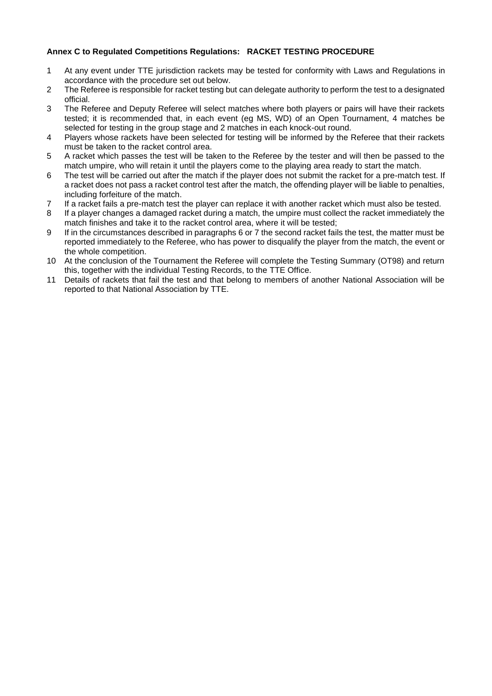### **Annex C to Regulated Competitions Regulations: RACKET TESTING PROCEDURE**

- 1 At any event under TTE jurisdiction rackets may be tested for conformity with Laws and Regulations in accordance with the procedure set out below.
- 2 The Referee is responsible for racket testing but can delegate authority to perform the test to a designated official.
- 3 The Referee and Deputy Referee will select matches where both players or pairs will have their rackets tested; it is recommended that, in each event (eg MS, WD) of an Open Tournament, 4 matches be selected for testing in the group stage and 2 matches in each knock-out round.
- 4 Players whose rackets have been selected for testing will be informed by the Referee that their rackets must be taken to the racket control area.
- 5 A racket which passes the test will be taken to the Referee by the tester and will then be passed to the match umpire, who will retain it until the players come to the playing area ready to start the match.
- 6 The test will be carried out after the match if the player does not submit the racket for a pre-match test. If a racket does not pass a racket control test after the match, the offending player will be liable to penalties, including forfeiture of the match.
- 7 If a racket fails a pre-match test the player can replace it with another racket which must also be tested.
- 8 If a player changes a damaged racket during a match, the umpire must collect the racket immediately the match finishes and take it to the racket control area, where it will be tested;
- 9 If in the circumstances described in paragraphs 6 or 7 the second racket fails the test, the matter must be reported immediately to the Referee, who has power to disqualify the player from the match, the event or the whole competition.
- 10 At the conclusion of the Tournament the Referee will complete the Testing Summary (OT98) and return this, together with the individual Testing Records, to the TTE Office.
- 11 Details of rackets that fail the test and that belong to members of another National Association will be reported to that National Association by TTE.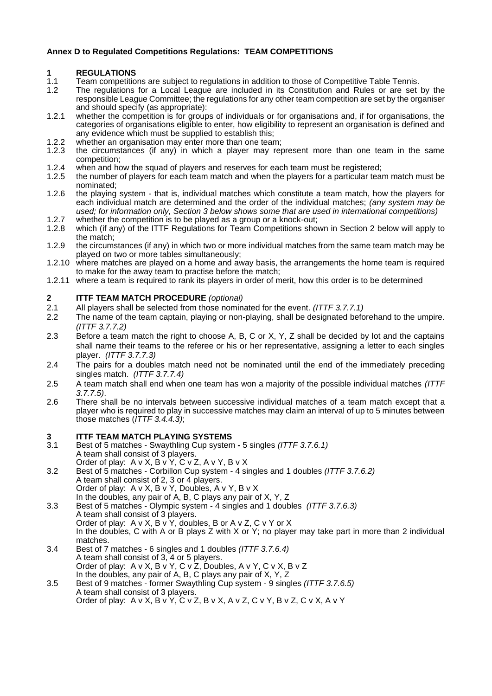### **Annex D to Regulated Competitions Regulations: TEAM COMPETITIONS**

# **1 REGULATIONS**

- 1.1 Team competitions are subject to regulations in addition to those of Competitive Table Tennis.
- 1.2 The regulations for a Local League are included in its Constitution and Rules or are set by the responsible League Committee; the regulations for any other team competition are set by the organiser and should specify (as appropriate):
- 1.2.1 whether the competition is for groups of individuals or for organisations and, if for organisations, the categories of organisations eligible to enter, how eligibility to represent an organisation is defined and any evidence which must be supplied to establish this;
- 1.2.2 whether an organisation may enter more than one team;<br>1.2.3 the circumstances (if any) in which a player may real
- the circumstances (if any) in which a player may represent more than one team in the same competition;
- 1.2.4 when and how the squad of players and reserves for each team must be registered;<br>1.2.5 the number of players for each team match and when the players for a particular tear
- the number of players for each team match and when the players for a particular team match must be nominated;
- 1.2.6 the playing system that is, individual matches which constitute a team match, how the players for each individual match are determined and the order of the individual matches; *(any system may be used; for information only, Section 3 below shows some that are used in international competitions)*
- 1.2.7 whether the competition is to be played as a group or a knock-out;<br>1.2.8 which (if any) of the ITTF Regulations for Team Competitions show
- which (if any) of the ITTF Regulations for Team Competitions shown in Section 2 below will apply to the match;
- 1.2.9 the circumstances (if any) in which two or more individual matches from the same team match may be played on two or more tables simultaneously;
- 1.2.10 where matches are played on a home and away basis, the arrangements the home team is required to make for the away team to practise before the match;
- 1.2.11 where a team is required to rank its players in order of merit, how this order is to be determined

### **2 ITTF TEAM MATCH PROCEDURE** *(optional)*

- 2.1 All players shall be selected from those nominated for the event. *(ITTF 3.7.7.1)*
- 2.2 The name of the team captain, playing or non-playing, shall be designated beforehand to the umpire. *(ITTF 3.7.7.2)*
- 2.3 Before a team match the right to choose A, B, C or X, Y, Z shall be decided by lot and the captains shall name their teams to the referee or his or her representative, assigning a letter to each singles player. *(ITTF 3.7.7.3)*
- 2.4 The pairs for a doubles match need not be nominated until the end of the immediately preceding singles match. *(ITTF 3.7.7.4)*
- 2.5 A team match shall end when one team has won a majority of the possible individual matches *(ITTF 3.7.7.5)*.
- 2.6 There shall be no intervals between successive individual matches of a team match except that a player who is required to play in successive matches may claim an interval of up to 5 minutes between those matches (*ITTF 3.4.4.3)*;

# **3 ITTF TEAM MATCH PLAYING SYSTEMS**

- 3.1 Best of 5 matches Swaythling Cup system **-** 5 singles *(ITTF 3.7.6.1)* A team shall consist of 3 players. Order of play:  $A \vee X$ ,  $B \vee Y$ ,  $C \vee Z$ ,  $A \vee Y$ ,  $B \vee X$
- 3.2 Best of 5 matches Corbillon Cup system 4 singles and 1 doubles *(ITTF 3.7.6.2)* A team shall consist of 2, 3 or 4 players. Order of play: A v X, B v Y, Doubles, A v Y, B v X In the doubles, any pair of A, B, C plays any pair of X, Y, Z
- 3.3 Best of 5 matches Olympic system 4 singles and 1 doubles *(ITTF 3.7.6.3)* A team shall consist of 3 players. Order of play: A v X, B v Y, doubles, B or A v Z, C v Y or X In the doubles, C with A or B plays Z with X or Y; no player may take part in more than 2 individual matches.
- 3.4 Best of 7 matches 6 singles and 1 doubles *(ITTF 3.7.6.4)* A team shall consist of 3, 4 or 5 players. Order of play: A v X, B v Y, C v Z, Doubles, A v Y, C v X, B v Z In the doubles, any pair of A, B, C plays any pair of X, Y, Z
- 3.5 Best of 9 matches former Swaythling Cup system 9 singles *(ITTF 3.7.6.5)* A team shall consist of 3 players. Order of play: A v X, B v Y, C v Z, B v X, A v Z, C v Y, B v Z, C v X, A v Y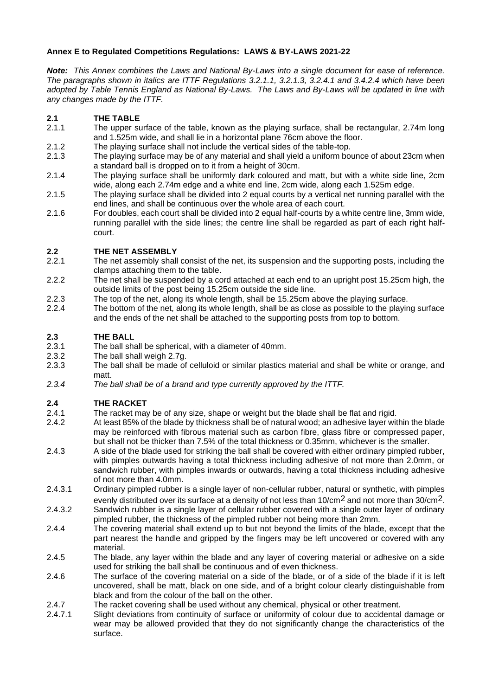# **Annex E to Regulated Competitions Regulations: LAWS & BY-LAWS 2021-22**

*Note: This Annex combines the Laws and National By-Laws into a single document for ease of reference. The paragraphs shown in italics are ITTF Regulations 3.2.1.1, 3.2.1.3, 3.2.4.1 and 3.4.2.4 which have been adopted by Table Tennis England as National By-Laws. The Laws and By-Laws will be updated in line with any changes made by the ITTF.*

### **2.1 THE TABLE**

- 2.1.1 The upper surface of the table, known as the playing surface, shall be rectangular, 2.74m long and 1.525m wide, and shall lie in a horizontal plane 76cm above the floor.
- 2.1.2 The playing surface shall not include the vertical sides of the table-top.
- 2.1.3 The playing surface may be of any material and shall yield a uniform bounce of about 23cm when a standard ball is dropped on to it from a height of 30cm.
- 2.1.4 The playing surface shall be uniformly dark coloured and matt, but with a white side line, 2cm wide, along each 2.74m edge and a white end line, 2cm wide, along each 1.525m edge.
- 2.1.5 The playing surface shall be divided into 2 equal courts by a vertical net running parallel with the end lines, and shall be continuous over the whole area of each court.
- 2.1.6 For doubles, each court shall be divided into 2 equal half-courts by a white centre line, 3mm wide, running parallel with the side lines; the centre line shall be regarded as part of each right halfcourt.

### **2.2 THE NET ASSEMBLY**

- 2.2.1 The net assembly shall consist of the net, its suspension and the supporting posts, including the clamps attaching them to the table.
- 2.2.2 The net shall be suspended by a cord attached at each end to an upright post 15.25cm high, the outside limits of the post being 15.25cm outside the side line.
- 2.2.3 The top of the net, along its whole length, shall be 15.25cm above the playing surface.
- 2.2.4 The bottom of the net, along its whole length, shall be as close as possible to the playing surface and the ends of the net shall be attached to the supporting posts from top to bottom.

### **2.3 THE BALL**

- 2.3.1 The ball shall be spherical, with a diameter of 40mm.
- 2.3.2 The ball shall weigh 2.7g.
- 2.3.3 The ball shall be made of celluloid or similar plastics material and shall be white or orange, and matt.
- *2.3.4 The ball shall be of a brand and type currently approved by the ITTF.*

### **2.4 THE RACKET**

- 2.4.1 The racket may be of any size, shape or weight but the blade shall be flat and rigid.
- 2.4.2 At least 85% of the blade by thickness shall be of natural wood; an adhesive layer within the blade may be reinforced with fibrous material such as carbon fibre, glass fibre or compressed paper, but shall not be thicker than 7.5% of the total thickness or 0.35mm, whichever is the smaller.
- 2.4.3 A side of the blade used for striking the ball shall be covered with either ordinary pimpled rubber, with pimples outwards having a total thickness including adhesive of not more than 2.0mm, or sandwich rubber, with pimples inwards or outwards, having a total thickness including adhesive of not more than 4.0mm.
- 2.4.3.1 Ordinary pimpled rubber is a single layer of non-cellular rubber, natural or synthetic, with pimples evenly distributed over its surface at a density of not less than 10/cm<sup>2</sup> and not more than 30/cm<sup>2</sup>.
- 2.4.3.2 Sandwich rubber is a single layer of cellular rubber covered with a single outer layer of ordinary pimpled rubber, the thickness of the pimpled rubber not being more than 2mm.
- 2.4.4 The covering material shall extend up to but not beyond the limits of the blade, except that the part nearest the handle and gripped by the fingers may be left uncovered or covered with any material.
- 2.4.5 The blade, any layer within the blade and any layer of covering material or adhesive on a side used for striking the ball shall be continuous and of even thickness.
- 2.4.6 The surface of the covering material on a side of the blade, or of a side of the blade if it is left uncovered, shall be matt, black on one side, and of a bright colour clearly distinguishable from black and from the colour of the ball on the other.
- 2.4.7 The racket covering shall be used without any chemical, physical or other treatment.
- 2.4.7.1 Slight deviations from continuity of surface or uniformity of colour due to accidental damage or wear may be allowed provided that they do not significantly change the characteristics of the surface.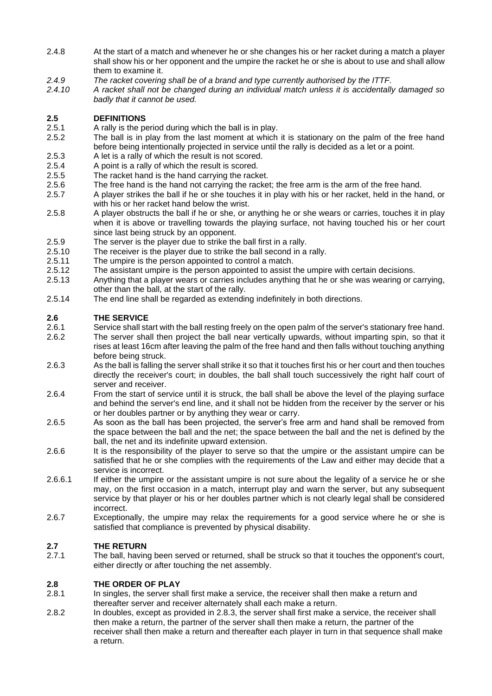- 2.4.8 At the start of a match and whenever he or she changes his or her racket during a match a player shall show his or her opponent and the umpire the racket he or she is about to use and shall allow them to examine it.
- *2.4.9 The racket covering shall be of a brand and type currently authorised by the ITTF.*
- *2.4.10 A racket shall not be changed during an individual match unless it is accidentally damaged so badly that it cannot be used.*

# **2.5 DEFINITIONS**

- 2.5.1 A rally is the period during which the ball is in play.
- 2.5.2 The ball is in play from the last moment at which it is stationary on the palm of the free hand before being intentionally projected in service until the rally is decided as a let or a point.
- 2.5.3 A let is a rally of which the result is not scored.
- 2.5.4 A point is a rally of which the result is scored.
- 2.5.5 The racket hand is the hand carrying the racket.
- 2.5.6 The free hand is the hand not carrying the racket; the free arm is the arm of the free hand.
- 2.5.7 A player strikes the ball if he or she touches it in play with his or her racket, held in the hand, or with his or her racket hand below the wrist.
- 2.5.8 A player obstructs the ball if he or she, or anything he or she wears or carries, touches it in play when it is above or travelling towards the playing surface, not having touched his or her court since last being struck by an opponent.
- 2.5.9 The server is the player due to strike the ball first in a rally.
- 2.5.10 The receiver is the player due to strike the ball second in a rally.
- 2.5.11 The umpire is the person appointed to control a match.
- 2.5.12 The assistant umpire is the person appointed to assist the umpire with certain decisions.
- 2.5.13 Anything that a player wears or carries includes anything that he or she was wearing or carrying, other than the ball, at the start of the rally.
- 2.5.14 The end line shall be regarded as extending indefinitely in both directions.

### **2.6 THE SERVICE**

- 2.6.1 Service shall start with the ball resting freely on the open palm of the server's stationary free hand. 2.6.2 The server shall then project the ball near vertically upwards, without imparting spin, so that it rises at least 16cm after leaving the palm of the free hand and then falls without touching anything before being struck.
- 2.6.3 As the ball is falling the server shall strike it so that it touches first his or her court and then touches directly the receiver's court; in doubles, the ball shall touch successively the right half court of server and receiver.
- 2.6.4 From the start of service until it is struck, the ball shall be above the level of the playing surface and behind the server's end line, and it shall not be hidden from the receiver by the server or his or her doubles partner or by anything they wear or carry.
- 2.6.5 As soon as the ball has been projected, the server's free arm and hand shall be removed from the space between the ball and the net; the space between the ball and the net is defined by the ball, the net and its indefinite upward extension.
- 2.6.6 It is the responsibility of the player to serve so that the umpire or the assistant umpire can be satisfied that he or she complies with the requirements of the Law and either may decide that a service is incorrect.
- 2.6.6.1 If either the umpire or the assistant umpire is not sure about the legality of a service he or she may, on the first occasion in a match, interrupt play and warn the server, but any subsequent service by that player or his or her doubles partner which is not clearly legal shall be considered incorrect.
- 2.6.7 Exceptionally, the umpire may relax the requirements for a good service where he or she is satisfied that compliance is prevented by physical disability.

# **2.7 THE RETURN**

The ball, having been served or returned, shall be struck so that it touches the opponent's court, either directly or after touching the net assembly.

### **2.8 THE ORDER OF PLAY**

- 2.8.1 In singles, the server shall first make a service, the receiver shall then make a return and thereafter server and receiver alternately shall each make a return.
- 2.8.2 In doubles, except as provided in 2.8.3, the server shall first make a service, the receiver shall then make a return, the partner of the server shall then make a return, the partner of the receiver shall then make a return and thereafter each player in turn in that sequence shall make a return.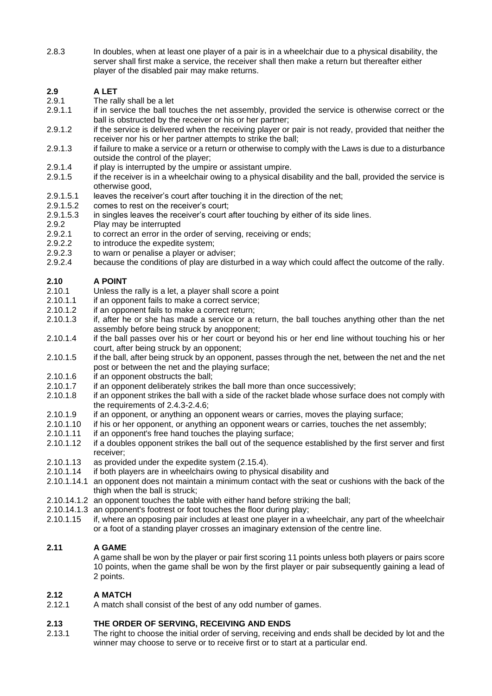2.8.3 In doubles, when at least one player of a pair is in a wheelchair due to a physical disability, the server shall first make a service, the receiver shall then make a return but thereafter either player of the disabled pair may make returns.

# **2.9 A LET**

- 2.9.1 The rally shall be a let
- 2.9.1.1 if in service the ball touches the net assembly, provided the service is otherwise correct or the ball is obstructed by the receiver or his or her partner;
- 2.9.1.2 if the service is delivered when the receiving player or pair is not ready, provided that neither the receiver nor his or her partner attempts to strike the ball;
- 2.9.1.3 if failure to make a service or a return or otherwise to comply with the Laws is due to a disturbance outside the control of the player;
- 2.9.1.4 if play is interrupted by the umpire or assistant umpire.<br>2.9.1.5 if the receiver is in a wheelchair owing to a physical disa
- if the receiver is in a wheelchair owing to a physical disability and the ball, provided the service is otherwise good,
- 2.9.1.5.1 leaves the receiver's court after touching it in the direction of the net;<br>2.9.1.5.2 comes to rest on the receiver's court;
- comes to rest on the receiver's court;
- 2.9.1.5.3 in singles leaves the receiver's court after touching by either of its side lines.
- 2.9.2 Play may be interrupted
- 2.9.2.1 to correct an error in the order of serving, receiving or ends;
- 2.9.2.2 to introduce the expedite system;
- 2.9.2.3 to warn or penalise a player or adviser;
- 2.9.2.4 because the conditions of play are disturbed in a way which could affect the outcome of the rally.

# **2.10 A POINT**

- 2.10.1 Unless the rally is a let, a player shall score a point
- 2.10.1.1 if an opponent fails to make a correct service;
- 2.10.1.2 if an opponent fails to make a correct return;
- 2.10.1.3 if, after he or she has made a service or a return, the ball touches anything other than the net assembly before being struck by anopponent;
- 2.10.1.4 if the ball passes over his or her court or beyond his or her end line without touching his or her court, after being struck by an opponent;
- 2.10.1.5 if the ball, after being struck by an opponent, passes through the net, between the net and the net post or between the net and the playing surface;
- 2.10.1.6 if an opponent obstructs the ball;
- 2.10.1.7 if an opponent deliberately strikes the ball more than once successively;<br>2.10.1.8 if an opponent strikes the ball with a side of the racket blade whose surfa
- if an opponent strikes the ball with a side of the racket blade whose surface does not comply with the requirements of 2.4.3-2.4.6;
- 2.10.1.9 if an opponent, or anything an opponent wears or carries, moves the playing surface;
- 2.10.1.10 if his or her opponent, or anything an opponent wears or carries, touches the net assembly;
- 2.10.1.11 if an opponent's free hand touches the playing surface;
- 2.10.1.12 if a doubles opponent strikes the ball out of the sequence established by the first server and first receiver;
- 2.10.1.13 as provided under the expedite system (2.15.4).
- 2.10.1.14 if both players are in wheelchairs owing to physical disability and
- 2.10.1.14.1 an opponent does not maintain a minimum contact with the seat or cushions with the back of the thigh when the ball is struck;
- 2.10.14.1.2 an opponent touches the table with either hand before striking the ball;
- 2.10.14.1.3 an opponent's footrest or foot touches the floor during play;
- 2.10.1.15 if, where an opposing pair includes at least one player in a wheelchair, any part of the wheelchair or a foot of a standing player crosses an imaginary extension of the centre line.

### **2.11 A GAME**

A game shall be won by the player or pair first scoring 11 points unless both players or pairs score 10 points, when the game shall be won by the first player or pair subsequently gaining a lead of 2 points.

### **2.12 A MATCH**

2.12.1 A match shall consist of the best of any odd number of games.

### **2.13 THE ORDER OF SERVING, RECEIVING AND ENDS**

2.13.1 The right to choose the initial order of serving, receiving and ends shall be decided by lot and the winner may choose to serve or to receive first or to start at a particular end.